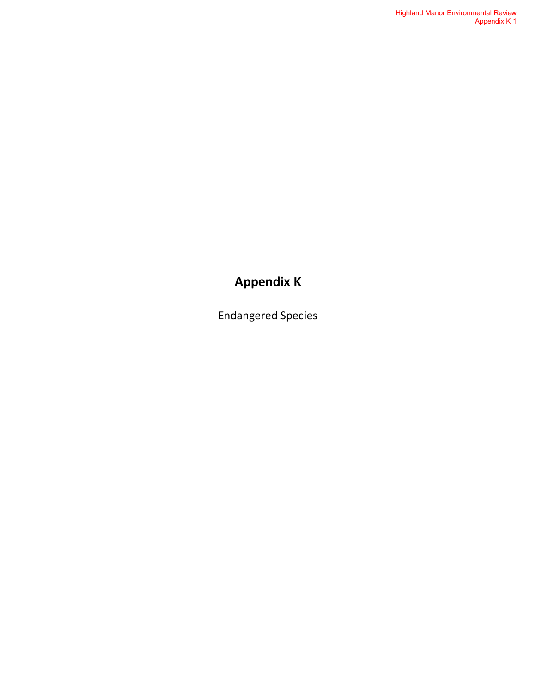### **Appendix K**

Endangered Species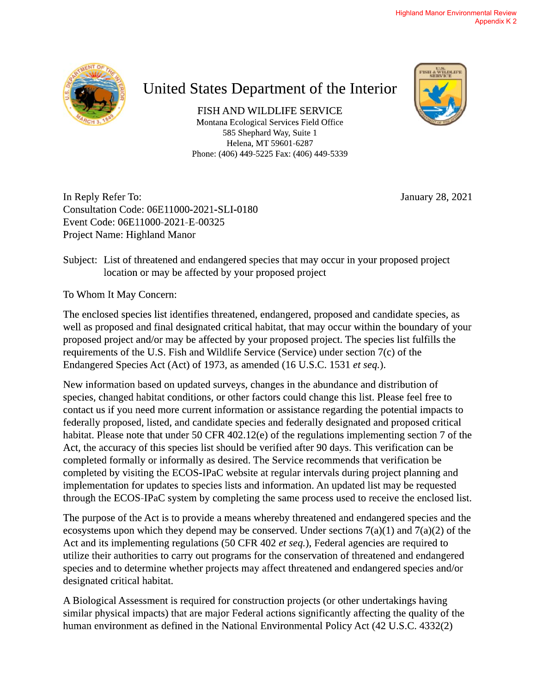

## United States Department of the Interior

FISH AND WILDLIFE SERVICE Montana Ecological Services Field Office 585 Shephard Way, Suite 1 Helena, MT 59601-6287 Phone: (406) 449-5225 Fax: (406) 449-5339



In Reply Refer To: Consultation Code: 06E11000-2021-SLI-0180 Event Code: 06E11000-2021-E-00325 Project Name: Highland Manor

January 28, 2021

Subject: List of threatened and endangered species that may occur in your proposed project location or may be affected by your proposed project

To Whom It May Concern:

The enclosed species list identifies threatened, endangered, proposed and candidate species, as well as proposed and final designated critical habitat, that may occur within the boundary of your proposed project and/or may be affected by your proposed project. The species list fulfills the requirements of the U.S. Fish and Wildlife Service (Service) under section 7(c) of the Endangered Species Act (Act) of 1973, as amended (16 U.S.C. 1531 et seq.).

New information based on updated surveys, changes in the abundance and distribution of species, changed habitat conditions, or other factors could change this list. Please feel free to contact us if you need more current information or assistance regarding the potential impacts to federally proposed, listed, and candidate species and federally designated and proposed critical habitat. Please note that under 50 CFR 402.12(e) of the regulations implementing section 7 of the Act, the accuracy of this species list should be verified after 90 days. This verification can be completed formally or informally as desired. The Service recommends that verification be completed by visiting the ECOS-IPaC website at regular intervals during project planning and implementation for updates to species lists and information. An updated list may be requested through the ECOS-IPaC system by completing the same process used to receive the enclosed list.

The purpose of the Act is to provide a means whereby threatened and endangered species and the ecosystems upon which they depend may be conserved. Under sections  $7(a)(1)$  and  $7(a)(2)$  of the Act and its implementing regulations (50 CFR 402 et seq.), Federal agencies are required to utilize their authorities to carry out programs for the conservation of threatened and endangered species and to determine whether projects may affect threatened and endangered species and/or designated critical habitat.

A Biological Assessment is required for construction projects (or other undertakings having similar physical impacts) that are major Federal actions significantly affecting the quality of the human environment as defined in the National Environmental Policy Act (42 U.S.C. 4332(2)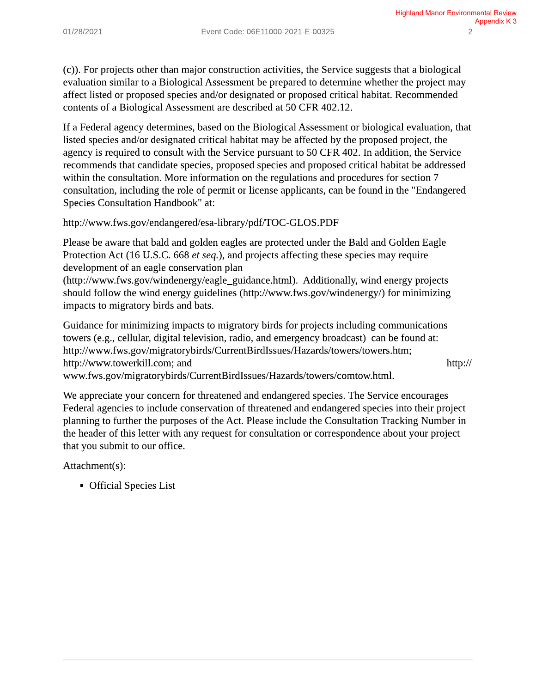(c)). For projects other than major construction activities, the Service suggests that a biological evaluation similar to a Biological Assessment be prepared to determine whether the project may affect listed or proposed species and/or designated or proposed critical habitat. Recommended contents of a Biological Assessment are described at 50 CFR 402.12.

If a Federal agency determines, based on the Biological Assessment or biological evaluation, that listed species and/or designated critical habitat may be affected by the proposed project, the agency is required to consult with the Service pursuant to 50 CFR 402. In addition, the Service recommends that candidate species, proposed species and proposed critical habitat be addressed within the consultation. More information on the regulations and procedures for section 7 consultation, including the role of permit or license applicants, can be found in the "Endangered" **Species Consultation Handbook" at:** 

http://www.fws.gov/endangered/esa-library/pdf/TOC-GLOS.PDF

Please be aware that bald and golden eagles are protected under the Bald and Golden Eagle Protection Act (16 U.S.C. 668 et seq.), and projects affecting these species may require development of an eagle conservation plan

(http://www.fws.gov/windenergy/eagle\_guidance.html). Additionally, wind energy projects should follow the wind energy guidelines (http://www.fws.gov/windenergy/) for minimizing impacts to migratory birds and bats.

Guidance for minimizing impacts to migratory birds for projects including communications towers (e.g., cellular, digital television, radio, and emergency broadcast) can be found at: http://www.fws.gov/migratorybirds/CurrentBirdIssues/Hazards/towers/towers.htm; http://www.towerkill.com; and  $http://$ www.fws.gov/migratorybirds/CurrentBirdIssues/Hazards/towers/comtow.html.

We appreciate your concern for threatened and endangered species. The Service encourages Federal agencies to include conservation of threatened and endangered species into their project planning to further the purposes of the Act. Please include the Consultation Tracking Number in the header of this letter with any request for consultation or correspondence about your project that you submit to our office.

Attachment(s):

• Official Species List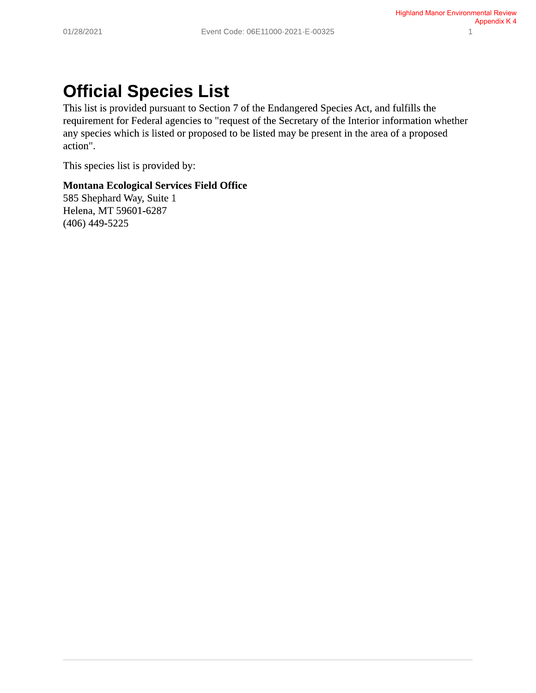# **Official Species List**

This list is provided pursuant to Section 7 of the Endangered Species Act, and fulfills the requirement for Federal agencies to "request of the Secretary of the Interior information whether any species which is listed or proposed to be listed may be present in the area of a proposed action".

This species list is provided by:

#### **Montana Ecological Services Field Office**

585 Shephard Way, Suite 1 Helena, MT 59601-6287  $(406)$  449-5225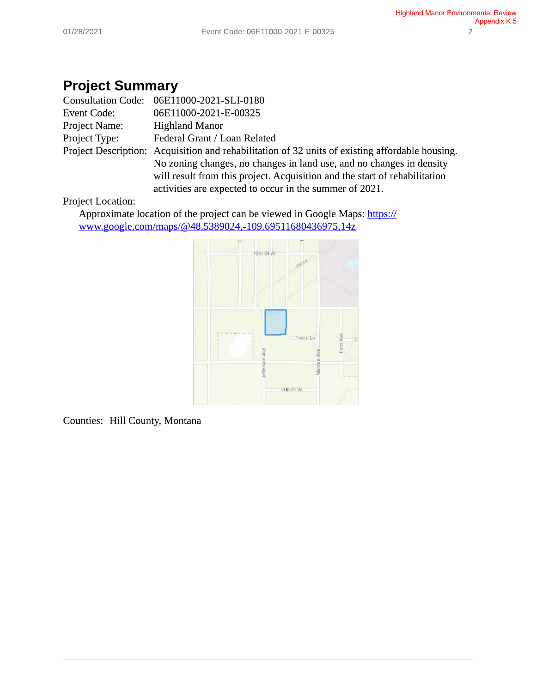### **Project Summary**

|                    | Consultation Code: 06E11000-2021-SLI-0180                                                       |
|--------------------|-------------------------------------------------------------------------------------------------|
| <b>Event Code:</b> | 06E11000-2021-E-00325                                                                           |
| Project Name:      | <b>Highland Manor</b>                                                                           |
| Project Type:      | Federal Grant / Loan Related                                                                    |
|                    | Project Description: Acquisition and rehabilitation of 32 units of existing affordable housing. |
|                    | No zoning changes, no changes in land use, and no changes in density                            |
|                    | will result from this project. Acquisition and the start of rehabilitation                      |
|                    | activities are expected to occur in the summer of 2021.                                         |

#### **Project Location:**

Approximate location of the project can be viewed in Google Maps: https:// www.google.com/maps/@48.5389024,-109.69511680436975,14z



Counties: Hill County, Montana